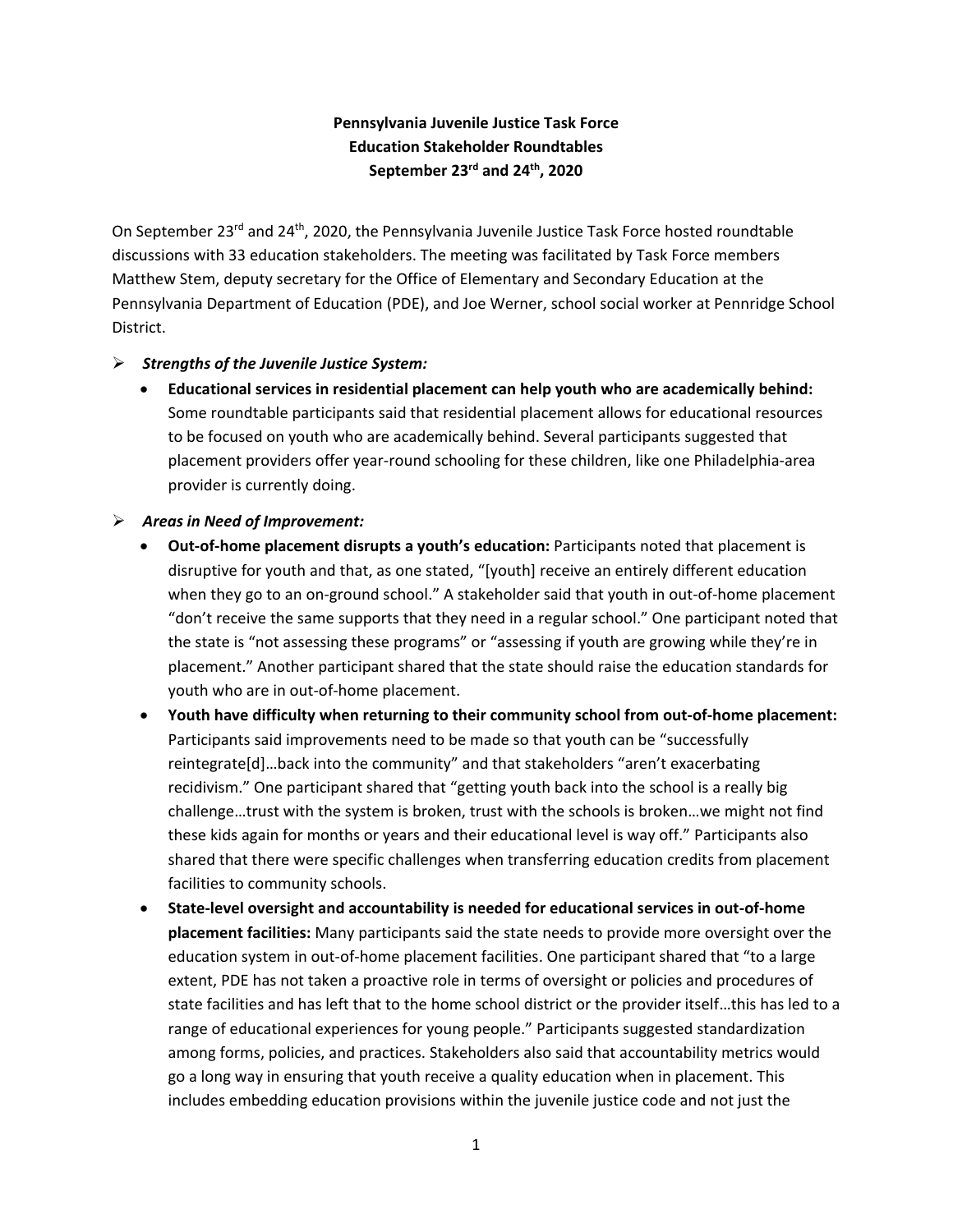# **Pennsylvania Juvenile Justice Task Force Education Stakeholder Roundtables September 23rd and 24th, 2020**

On September 23<sup>rd</sup> and 24<sup>th</sup>, 2020, the Pennsylvania Juvenile Justice Task Force hosted roundtable discussions with 33 education stakeholders. The meeting was facilitated by Task Force members Matthew Stem, deputy secretary for the Office of Elementary and Secondary Education at the Pennsylvania Department of Education (PDE), and Joe Werner, school social worker at Pennridge School District.

### ➢ *Strengths of the Juvenile Justice System:*

• **Educational services in residential placement can help youth who are academically behind:** Some roundtable participants said that residential placement allows for educational resources to be focused on youth who are academically behind. Several participants suggested that placement providers offer year-round schooling for these children, like one Philadelphia-area provider is currently doing.

## ➢ *Areas in Need of Improvement:*

- **Out-of-home placement disrupts a youth's education:** Participants noted that placement is disruptive for youth and that, as one stated, "[youth] receive an entirely different education when they go to an on-ground school." A stakeholder said that youth in out-of-home placement "don't receive the same supports that they need in a regular school." One participant noted that the state is "not assessing these programs" or "assessing if youth are growing while they're in placement." Another participant shared that the state should raise the education standards for youth who are in out-of-home placement.
- **Youth have difficulty when returning to their community school from out-of-home placement:** Participants said improvements need to be made so that youth can be "successfully reintegrate[d]…back into the community" and that stakeholders "aren't exacerbating recidivism." One participant shared that "getting youth back into the school is a really big challenge…trust with the system is broken, trust with the schools is broken…we might not find these kids again for months or years and their educational level is way off." Participants also shared that there were specific challenges when transferring education credits from placement facilities to community schools.
- **State-level oversight and accountability is needed for educational services in out-of-home placement facilities:** Many participants said the state needs to provide more oversight over the education system in out-of-home placement facilities. One participant shared that "to a large extent, PDE has not taken a proactive role in terms of oversight or policies and procedures of state facilities and has left that to the home school district or the provider itself…this has led to a range of educational experiences for young people." Participants suggested standardization among forms, policies, and practices. Stakeholders also said that accountability metrics would go a long way in ensuring that youth receive a quality education when in placement. This includes embedding education provisions within the juvenile justice code and not just the